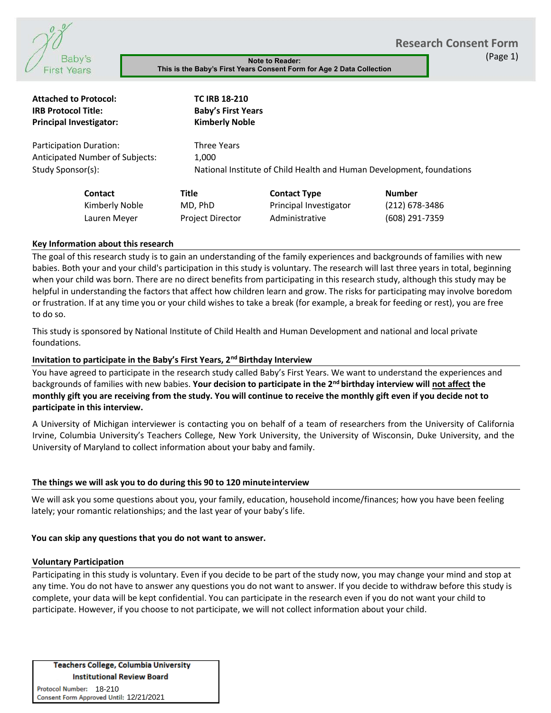**Research Consent Form**



**This is the Baby's First Years Consent Form for Age 2 Data Collection**

(Page 1)

| <b>Baby</b> s<br><b>First Years</b>                                                                     |                                              |                                                                            | <b>Note to Reader:</b><br>This is the Baby's First Years Consent Form for Age 2 Data Collection           |                                                                                                                                                                                                                                                                                                                                                                                                                                                                                                                                                                                                                              |
|---------------------------------------------------------------------------------------------------------|----------------------------------------------|----------------------------------------------------------------------------|-----------------------------------------------------------------------------------------------------------|------------------------------------------------------------------------------------------------------------------------------------------------------------------------------------------------------------------------------------------------------------------------------------------------------------------------------------------------------------------------------------------------------------------------------------------------------------------------------------------------------------------------------------------------------------------------------------------------------------------------------|
| <b>Attached to Protocol:</b><br><b>IRB Protocol Title:</b><br><b>Principal Investigator:</b>            |                                              | <b>TC IRB 18-210</b><br><b>Baby's First Years</b><br><b>Kimberly Noble</b> |                                                                                                           |                                                                                                                                                                                                                                                                                                                                                                                                                                                                                                                                                                                                                              |
| Participation Duration:<br>Anticipated Number of Subjects:<br>Study Sponsor(s):                         |                                              | <b>Three Years</b><br>1,000                                                |                                                                                                           | National Institute of Child Health and Human Development, foundations                                                                                                                                                                                                                                                                                                                                                                                                                                                                                                                                                        |
| Contact<br>Kimberly Noble<br>Lauren Meyer                                                               | <b>Title</b>                                 | MD, PhD<br>Project Director                                                | <b>Contact Type</b><br>Principal Investigator<br>Administrative                                           | <b>Number</b><br>(212) 678-3486<br>(608) 291-7359                                                                                                                                                                                                                                                                                                                                                                                                                                                                                                                                                                            |
| Key Information about this research                                                                     |                                              |                                                                            |                                                                                                           |                                                                                                                                                                                                                                                                                                                                                                                                                                                                                                                                                                                                                              |
| to do so.                                                                                               |                                              |                                                                            |                                                                                                           | The goal of this research study is to gain an understanding of the family experiences and backgrounds of families w<br>babies. Both your and your child's participation in this study is voluntary. The research will last three years in total,<br>when your child was born. There are no direct benefits from participating in this research study, although this stud<br>helpful in understanding the factors that affect how children learn and grow. The risks for participating may involve<br>or frustration. If at any time you or your child wishes to take a break (for example, a break for feeding or rest), you |
| foundations.                                                                                            |                                              |                                                                            |                                                                                                           | This study is sponsored by National Institute of Child Health and Human Development and national and local privat                                                                                                                                                                                                                                                                                                                                                                                                                                                                                                            |
| Invitation to participate in the Baby's First Years, 2 <sup>nd</sup> Birthday Interview                 |                                              |                                                                            |                                                                                                           |                                                                                                                                                                                                                                                                                                                                                                                                                                                                                                                                                                                                                              |
| participate in this interview.                                                                          |                                              |                                                                            |                                                                                                           | You have agreed to participate in the research study called Baby's First Years. We want to understand the experier<br>backgrounds of families with new babies. Your decision to participate in the 2 <sup>nd</sup> birthday interview will not affect<br>monthly gift you are receiving from the study. You will continue to receive the monthly gift even if you decide no                                                                                                                                                                                                                                                  |
| University of Maryland to collect information about your baby and family.                               |                                              |                                                                            |                                                                                                           | A University of Michigan interviewer is contacting you on behalf of a team of researchers from the University o<br>Irvine, Columbia University's Teachers College, New York University, the University of Wisconsin, Duke Universi                                                                                                                                                                                                                                                                                                                                                                                           |
| The things we will ask you to do during this 90 to 120 minute interview                                 |                                              |                                                                            |                                                                                                           |                                                                                                                                                                                                                                                                                                                                                                                                                                                                                                                                                                                                                              |
| lately; your romantic relationships; and the last year of your baby's life.                             |                                              |                                                                            |                                                                                                           | We will ask you some questions about you, your family, education, household income/finances; how you have bee                                                                                                                                                                                                                                                                                                                                                                                                                                                                                                                |
| You can skip any questions that you do not want to answer.                                              |                                              |                                                                            |                                                                                                           |                                                                                                                                                                                                                                                                                                                                                                                                                                                                                                                                                                                                                              |
| <b>Voluntary Participation</b>                                                                          |                                              |                                                                            |                                                                                                           |                                                                                                                                                                                                                                                                                                                                                                                                                                                                                                                                                                                                                              |
|                                                                                                         |                                              |                                                                            | participate. However, if you choose to not participate, we will not collect information about your child. | Participating in this study is voluntary. Even if you decide to be part of the study now, you may change your mind a<br>any time. You do not have to answer any questions you do not want to answer. If you decide to withdraw before t<br>complete, your data will be kept confidential. You can participate in the research even if you do not want your chil                                                                                                                                                                                                                                                              |
| <b>Institutional Review Board</b><br>Protocol Number: 18-210<br>Consent Form Approved Until: 12/21/2021 | <b>Teachers College, Columbia University</b> |                                                                            |                                                                                                           |                                                                                                                                                                                                                                                                                                                                                                                                                                                                                                                                                                                                                              |

#### **Key Information about this research**

The goal of this research study is to gain an understanding of the family experiences and backgrounds of families with new babies. Both your and your child's participation in this study is voluntary. The research will last three years in total, beginning when your child was born. There are no direct benefits from participating in this research study, although this study may be helpful in understanding the factors that affect how children learn and grow. The risks for participating may involve boredom or frustration. If at any time you or your child wishes to take a break (for example, a break for feeding or rest), you are free to do so.

# **Invitation to participate in the Baby's First Years, 2nd Birthday Interview**

You have agreed to participate in the research study called Baby's First Years. We want to understand the experiences and backgrounds of families with new babies. **Your decision to participate in the 2nd birthday interview will not affect the monthly gift you are receiving from the study. You will continue to receive the monthly gift even if you decide not to participate in this interview.**

A University of Michigan interviewer is contacting you on behalf of a team of researchers from the University of California Irvine, Columbia University's Teachers College, New York University, the University of Wisconsin, Duke University, and the University of Maryland to collect information about your baby and family.

# **The things we will ask you to do during this 90 to 120 minuteinterview**

We will ask you some questions about you, your family, education, household income/finances; how you have been feeling lately; your romantic relationships; and the last year of your baby's life.

#### **You can skip any questions that you do not want to answer.**

#### **Voluntary Participation**

Participating in this study is voluntary. Even if you decide to be part of the study now, you may change your mind and stop at any time. You do not have to answer any questions you do not want to answer. If you decide to withdraw before this study is complete, your data will be kept confidential. You can participate in the research even if you do not want your child to participate. However, if you choose to not participate, we will not collect information about your child.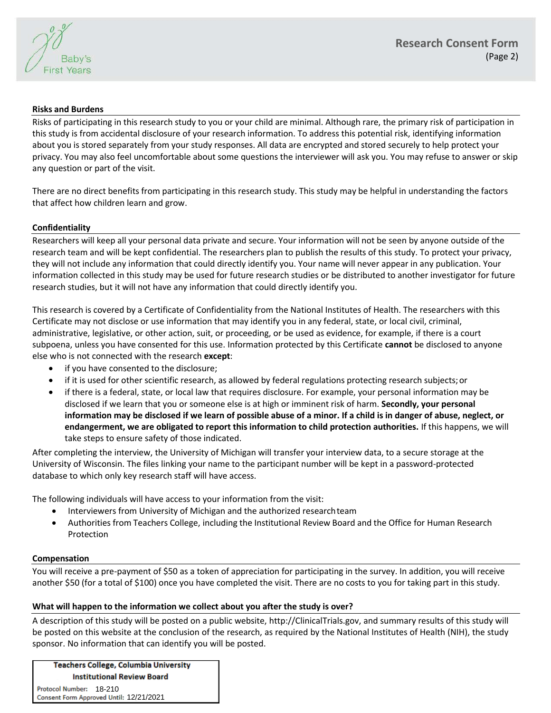

# **Risks and Burdens**

Risks of participating in this research study to you or your child are minimal. Although rare, the primary risk of participation in this study is from accidental disclosure of your research information. To address this potential risk, identifying information about you is stored separately from your study responses. All data are encrypted and stored securely to help protect your privacy. You may also feel uncomfortable about some questions the interviewer will ask you. You may refuse to answer or skip any question or part of the visit.

There are no direct benefits from participating in this research study. This study may be helpful in understanding the factors that affect how children learn and grow.

# **Confidentiality**

Researchers will keep all your personal data private and secure. Your information will not be seen by anyone outside of the research team and will be kept confidential. The researchers plan to publish the results of this study. To protect your privacy, they will not include any information that could directly identify you. Your name will never appear in any publication. Your information collected in this study may be used for future research studies or be distributed to another investigator for future research studies, but it will not have any information that could directly identify you.

This research is covered by a Certificate of Confidentiality from the National Institutes of Health. The researchers with this Certificate may not disclose or use information that may identify you in any federal, state, or local civil, criminal, administrative, legislative, or other action, suit, or proceeding, or be used as evidence, for example, if there is a court subpoena, unless you have consented for this use. Information protected by this Certificate **cannot** be disclosed to anyone else who is not connected with the research **except**:

- if you have consented to the disclosure;
- if it is used for other scientific research, as allowed by federal regulations protecting research subjects;or
- if there is a federal, state, or local law that requires disclosure. For example, your personal information may be disclosed if we learn that you or someone else is at high or imminent risk of harm. **Secondly, your personal information may be disclosed if we learn of possible abuse of a minor. If a child is in danger of abuse, neglect, or endangerment, we are obligated to report this information to child protection authorities.** If this happens, we will take steps to ensure safety of those indicated.

After completing the interview, the University of Michigan will transfer your interview data, to a secure storage at the University of Wisconsin. The files linking your name to the participant number will be kept in a password-protected database to which only key research staff will have access.

The following individuals will have access to your information from the visit:

- Interviewers from University of Michigan and the authorized researchteam
- Authorities from Teachers College, including the Institutional Review Board and the Office for Human Research Protection

# **Compensation**

You will receive a pre-payment of \$50 as a token of appreciation for participating in the survey. In addition, you will receive another \$50 (for a total of \$100) once you have completed the visit. There are no costs to you for taking part in this study.

# **What will happen to the information we collect about you after the study is over?**

A description of this study will be posted on a public website, http://ClinicalTrials.gov, and summary results of this study will be posted on this website at the conclusion of the research, as required by the National Institutes of Health (NIH), the study sponsor. No information that can identify you will be posted.

**Teachers College, Columbia University Institutional Review Board** 

Protocol Number: 18-210 02/13/2021 12/21/2021